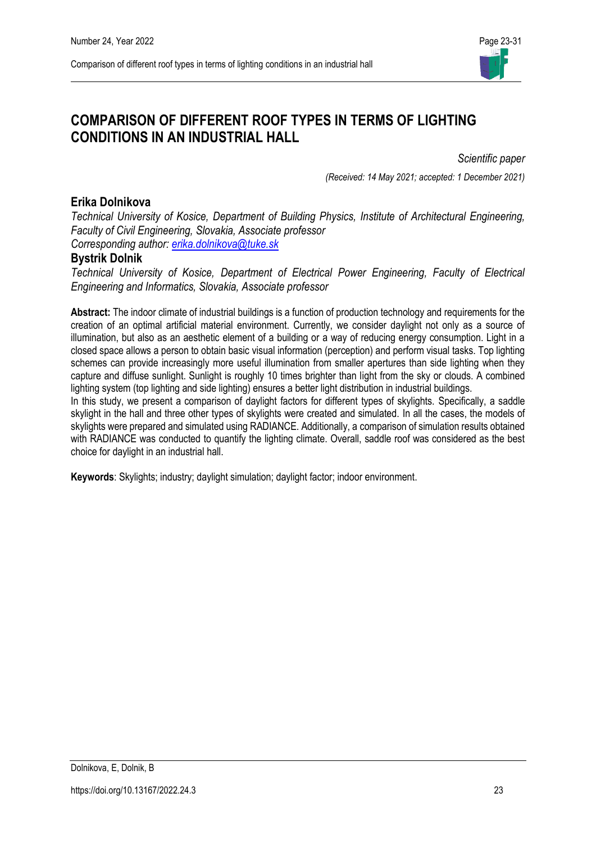

# **COMPARISON OF DIFFERENT ROOF TYPES IN TERMS OF LIGHTING CONDITIONS IN AN INDUSTRIAL HALL**

*Scientific paper* 

*(Received: 14 May 2021; accepted: 1 December 2021)*

### **Erika Dolnikova**

*Technical University of Kosice, Department of Building Physics, Institute of Architectural Engineering, Faculty of Civil Engineering, Slovakia, Associate professor Corresponding author: [erika.dolnikova@tuke.sk](mailto:email-address@gmail.com)*

## **Bystrik Dolnik**

*Technical University of Kosice, Department of Electrical Power Engineering, Faculty of Electrical Engineering and Informatics, Slovakia, Associate professor*

**Abstract:** The indoor climate of industrial buildings is a function of production technology and requirements for the creation of an optimal artificial material environment. Currently, we consider daylight not only as a source of illumination, but also as an aesthetic element of a building or a way of reducing energy consumption. Light in a closed space allows a person to obtain basic visual information (perception) and perform visual tasks. Top lighting schemes can provide increasingly more useful illumination from smaller apertures than side lighting when they capture and diffuse sunlight. Sunlight is roughly 10 times brighter than light from the sky or clouds. A combined lighting system (top lighting and side lighting) ensures a better light distribution in industrial buildings.

In this study, we present a comparison of daylight factors for different types of skylights. Specifically, a saddle skylight in the hall and three other types of skylights were created and simulated. In all the cases, the models of skylights were prepared and simulated using RADIANCE. Additionally, a comparison of simulation results obtained with RADIANCE was conducted to quantify the lighting climate. Overall, saddle roof was considered as the best choice for daylight in an industrial hall.

**Keywords**: Skylights; industry; daylight simulation; daylight factor; indoor environment.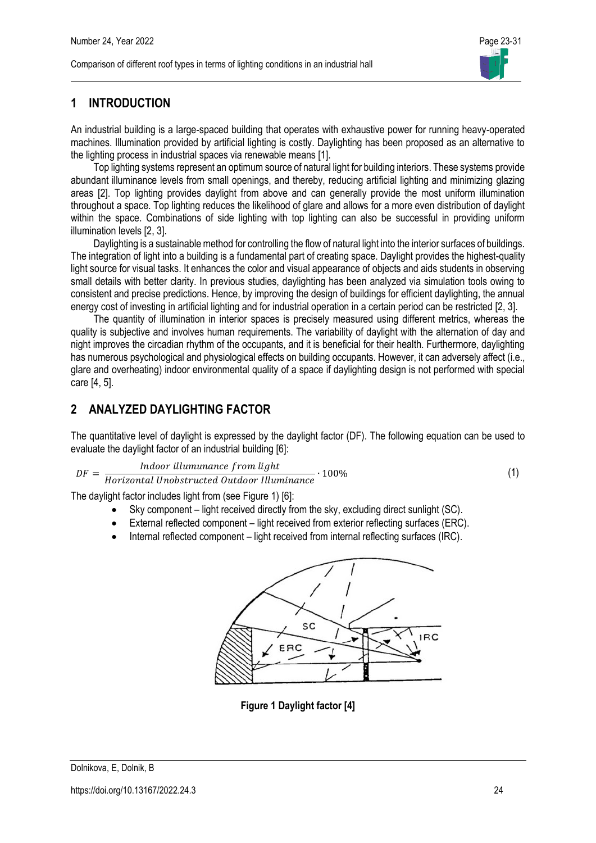

## **1 INTRODUCTION**

An industrial building is a large-spaced building that operates with exhaustive power for running heavy-operated machines. Illumination provided by artificial lighting is costly. Daylighting has been proposed as an alternative to the lighting process in industrial spaces via renewable means [1].

Top lighting systems represent an optimum source of natural light for building interiors. These systems provide abundant illuminance levels from small openings, and thereby, reducing artificial lighting and minimizing glazing areas [2]. Top lighting provides daylight from above and can generally provide the most uniform illumination throughout a space. Top lighting reduces the likelihood of glare and allows for a more even distribution of daylight within the space. Combinations of side lighting with top lighting can also be successful in providing uniform illumination levels [2, 3].

Daylighting is a sustainable method for controlling the flow of natural light into the interior surfaces of buildings. The integration of light into a building is a fundamental part of creating space. Daylight provides the highest-quality light source for visual tasks. It enhances the color and visual appearance of objects and aids students in observing small details with better clarity. In previous studies, daylighting has been analyzed via simulation tools owing to consistent and precise predictions. Hence, by improving the design of buildings for efficient daylighting, the annual energy cost of investing in artificial lighting and for industrial operation in a certain period can be restricted [2, 3].

The quantity of illumination in interior spaces is precisely measured using different metrics, whereas the quality is subjective and involves human requirements. The variability of daylight with the alternation of day and night improves the circadian rhythm of the occupants, and it is beneficial for their health. Furthermore, daylighting has numerous psychological and physiological effects on building occupants. However, it can adversely affect (i.e., glare and overheating) indoor environmental quality of a space if daylighting design is not performed with special care [4, 5].

## **2 ANALYZED DAYLIGHTING FACTOR**

The quantitative level of daylight is expressed by the daylight factor (DF). The following equation can be used to evaluate the daylight factor of an industrial building [6]:

$$
DF = \frac{Indoor\;illumunance\;from\;light}{Horizontal\;Unobstructed\;Outdoor\; Illuminance} \cdot 100\%
$$
\n
$$
(1)
$$

$$
1) \quad
$$

The daylight factor includes light from (see Figure 1) [6]:

- Sky component light received directly from the sky, excluding direct sunlight (SC).
- External reflected component light received from exterior reflecting surfaces (ERC).
- Internal reflected component light received from internal reflecting surfaces (IRC).



**Figure 1 Daylight factor [4]**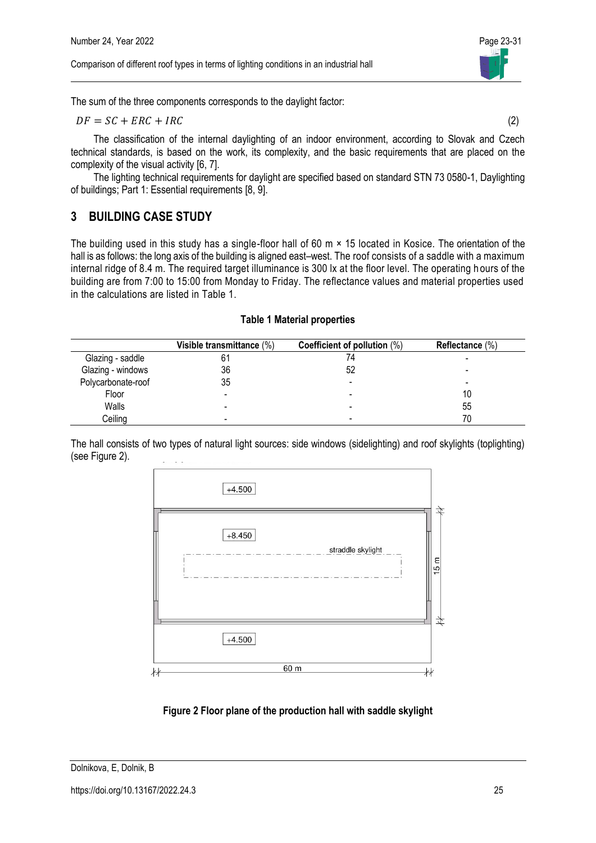Comparison of different roof types in terms of lighting conditions in an industrial hall



The sum of the three components corresponds to the daylight factor:

$$
DF = SC + ERC + IRC \tag{2}
$$

The classification of the internal daylighting of an indoor environment, according to Slovak and Czech technical standards, is based on the work, its complexity, and the basic requirements that are placed on the complexity of the visual activity [6, 7].

The lighting technical requirements for daylight are specified based on standard STN 73 0580-1, Daylighting of buildings; Part 1: Essential requirements [8, 9].

## **3 BUILDING CASE STUDY**

The building used in this study has a single-floor hall of 60 m × 15 located in Kosice. The orientation of the hall is as follows: the long axis of the building is aligned east–west. The roof consists of a saddle with a maximum internal ridge of 8.4 m. The required target illuminance is 300 lx at the floor level. The operating h ours of the building are from 7:00 to 15:00 from Monday to Friday. The reflectance values and material properties used in the calculations are listed in Table 1.

#### **Table 1 Material properties**

|                    | Visible transmittance (%) | Coefficient of pollution (%) | Reflectance $(\%)$ |
|--------------------|---------------------------|------------------------------|--------------------|
| Glazing - saddle   | 61                        | 74                           |                    |
| Glazing - windows  | 36                        | 52                           |                    |
| Polycarbonate-roof | 35                        |                              |                    |
| Floor              |                           |                              | 10                 |
| Walls              |                           |                              | 55                 |
| Ceiling            |                           |                              |                    |

The hall consists of two types of natural light sources: side windows (sidelighting) and roof skylights (toplighting) (see Figure 2).



## **Figure 2 Floor plane of the production hall with saddle skylight**

Dolnikova, E, Dolnik, B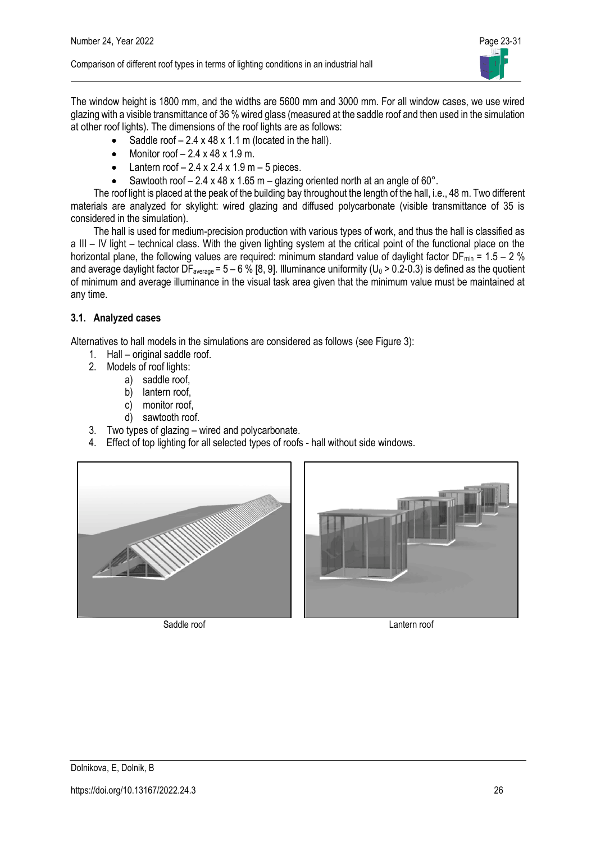

The window height is 1800 mm, and the widths are 5600 mm and 3000 mm. For all window cases, we use wired glazing with a visible transmittance of 36 % wired glass (measured at the saddle roof and then used in the simulation at other roof lights). The dimensions of the roof lights are as follows:

- Saddle roof  $-2.4 \times 48 \times 1.1$  m (located in the hall).
- Monitor roof  $-2.4 \times 48 \times 1.9$  m.
- Lantern roof  $-2.4 \times 2.4 \times 1.9$  m  $-5$  pieces.
- Sawtooth roof  $2.4 \times 48 \times 1.65$  m glazing oriented north at an angle of 60°.

The roof light is placed at the peak of the building bay throughout the length of the hall, i.e., 48 m. Two different materials are analyzed for skylight: wired glazing and diffused polycarbonate (visible transmittance of 35 is considered in the simulation).

The hall is used for medium-precision production with various types of work, and thus the hall is classified as a III – IV light – technical class. With the given lighting system at the critical point of the functional place on the horizontal plane, the following values are required: minimum standard value of daylight factor DF<sub>min</sub> = 1.5 – 2 % and average daylight factor  $\bar{DF}_{\text{average}} = 5 - 6\%$  [8, 9]. Illuminance uniformity (U<sub>0</sub> > 0.2-0.3) is defined as the quotient of minimum and average illuminance in the visual task area given that the minimum value must be maintained at any time.

### **3.1. Analyzed cases**

Alternatives to hall models in the simulations are considered as follows (see Figure 3):

- 1. Hall original saddle roof.
- 2. Models of roof lights:
	- a) saddle roof,
		- b) lantern roof.
		- c) monitor roof,
		- d) sawtooth roof.
- 3. Two types of glazing wired and polycarbonate.
- 4. Effect of top lighting for all selected types of roofs hall without side windows.





Saddle roof Lantern roof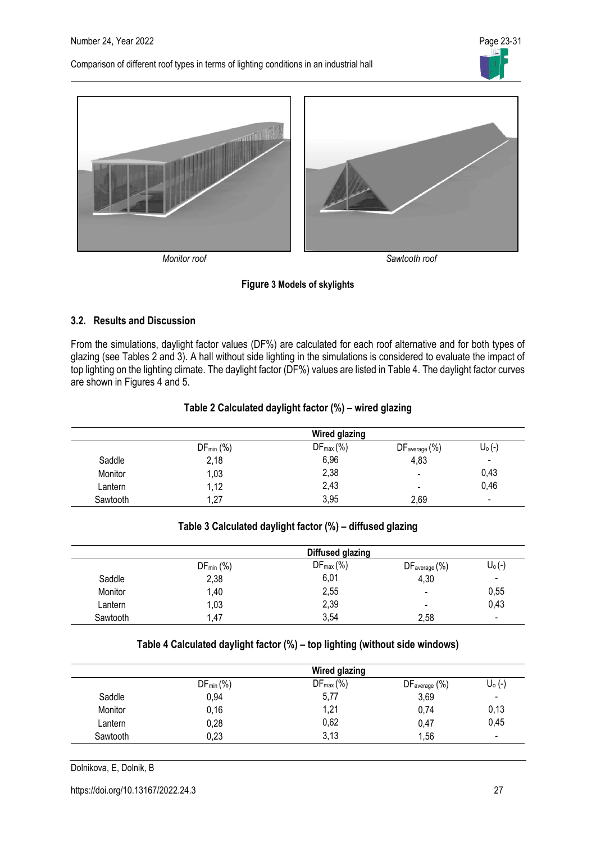Comparison of different roof types in terms of lighting conditions in an industrial hall





#### **Figure 3 Models of skylights**

#### **3.2. Results and Discussion**

From the simulations, daylight factor values (DF%) are calculated for each roof alternative and for both types of glazing (see Tables 2 and 3). A hall without side lighting in the simulations is considered to evaluate the impact of top lighting on the lighting climate. The daylight factor (DF%) values are listed in Table 4. The daylight factor curves are shown in Figures 4 and 5.

#### **Table 2 Calculated daylight factor (%) – wired glazing**

|          | <b>Wired glazing</b> |                       |                              |                              |
|----------|----------------------|-----------------------|------------------------------|------------------------------|
|          | $DF_{min}$ (%)       | $DF_{\text{max}}(\%)$ | DF <sub>average</sub> (%)    | $U_0(-)$                     |
| Saddle   | 2,18                 | 6,96                  | 4,83                         | $\qquad \qquad \blacksquare$ |
| Monitor  | 1,03                 | 2,38                  | $\qquad \qquad \blacksquare$ | 0,43                         |
| Lantern  | 1,12                 | 2,43                  | $\,$                         | 0,46                         |
| Sawtooth | 1,27                 | 3,95                  | 2,69                         | $\overline{\phantom{0}}$     |

#### **Table 3 Calculated daylight factor (%) – diffused glazing**

|          |                | Diffused glazing |                          |                          |
|----------|----------------|------------------|--------------------------|--------------------------|
|          | $DF_{min}$ $%$ | $DF_{max}$ (%)   | DFaverage (%)            | $U_0(-)$                 |
| Saddle   | 2,38           | 6,01             | 4,30                     | $\overline{\phantom{0}}$ |
| Monitor  | 1,40           | 2,55             | $\overline{\phantom{a}}$ | 0,55                     |
| Lantern  | 1,03           | 2,39             | $\overline{\phantom{0}}$ | 0,43                     |
| Sawtooth | 1.47           | 3,54             | 2,58                     | $\overline{\phantom{0}}$ |

#### **Table 4 Calculated daylight factor (%) – top lighting (without side windows)**

|          |                | <b>Wired glazing</b> |                           |                          |
|----------|----------------|----------------------|---------------------------|--------------------------|
|          | $DF_{min}$ (%) | $DF_{max}$ (%)       | DF <sub>average</sub> (%) | $U_0$ (-)                |
| Saddle   | 0,94           | 5,77                 | 3,69                      | $\overline{\phantom{a}}$ |
| Monitor  | 0,16           | 1,21                 | 0,74                      | 0,13                     |
| Lantern  | 0,28           | 0,62                 | 0,47                      | 0,45                     |
| Sawtooth | 0,23           | 3,13                 | 1,56                      | $\overline{\phantom{a}}$ |

Dolnikova, E, Dolnik, B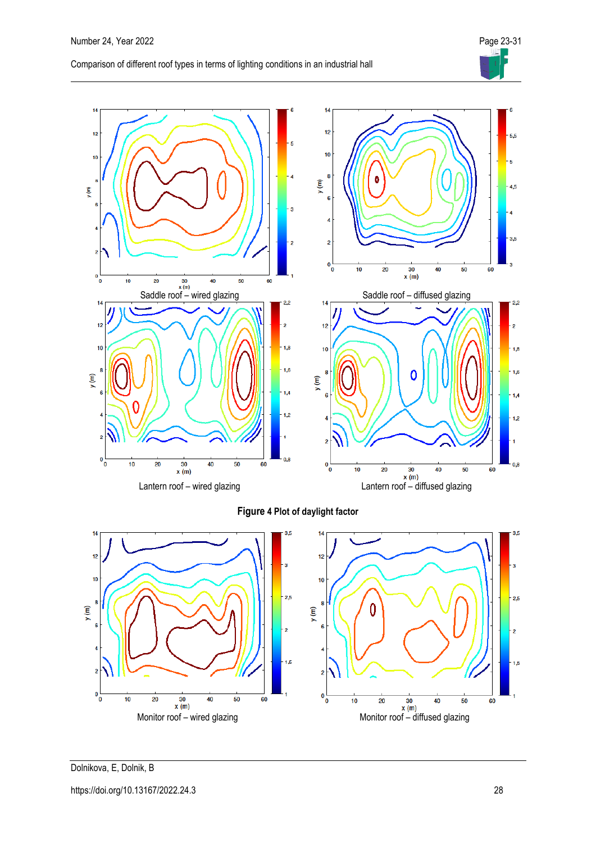

Dolnikova, E, Dolnik, B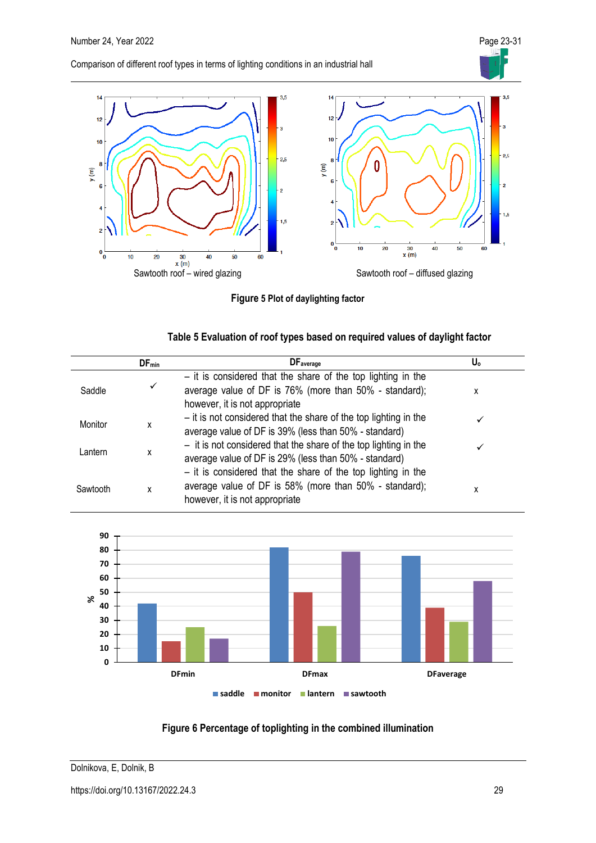Comparison of different roof types in terms of lighting conditions in an industrial hall



**Figure 5 Plot of daylighting factor**

| Table 5 Evaluation of roof types based on required values of daylight factor |
|------------------------------------------------------------------------------|
|------------------------------------------------------------------------------|

|          | $DF_{min}$ | <b>DF</b> average                                                                                                                                          | U。 |
|----------|------------|------------------------------------------------------------------------------------------------------------------------------------------------------------|----|
| Saddle   | ✓          | $-$ it is considered that the share of the top lighting in the<br>average value of DF is 76% (more than 50% - standard);<br>however, it is not appropriate | x  |
| Monitor  | x          | - it is not considered that the share of the top lighting in the<br>average value of DF is 39% (less than 50% - standard)                                  |    |
| Lantern  | x          | $-$ it is not considered that the share of the top lighting in the<br>average value of DF is 29% (less than 50% - standard)                                |    |
| Sawtooth | χ          | $-$ it is considered that the share of the top lighting in the<br>average value of DF is 58% (more than 50% - standard);<br>however, it is not appropriate | х  |



## **Figure 6 Percentage of toplighting in the combined illumination**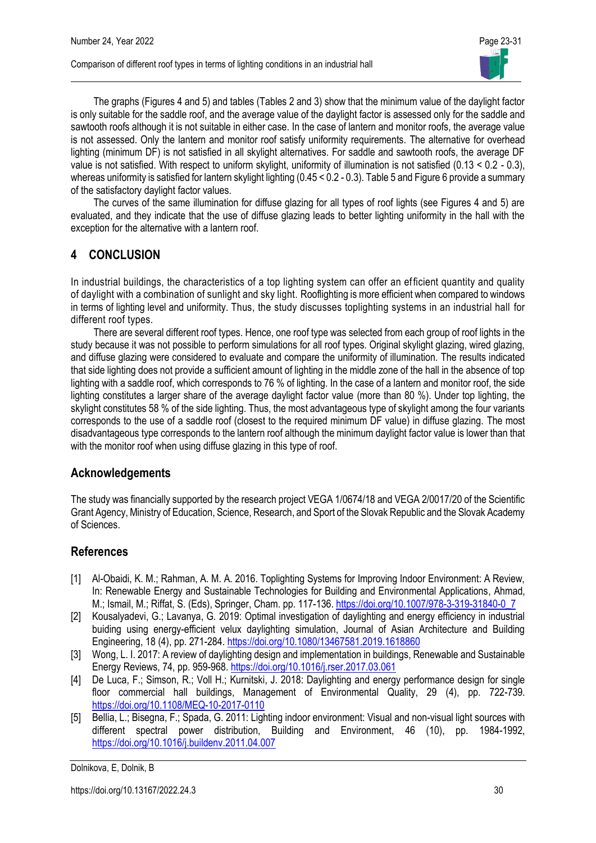

The graphs (Figures 4 and 5) and tables (Tables 2 and 3) show that the minimum value of the daylight factor is only suitable for the saddle roof, and the average value of the daylight factor is assessed only for the saddle and sawtooth roofs although it is not suitable in either case. In the case of lantern and monitor roofs, the average value is not assessed. Only the lantern and monitor roof satisfy uniformity requirements. The alternative for overhead lighting (minimum DF) is not satisfied in all skylight alternatives. For saddle and sawtooth roofs, the average DF value is not satisfied. With respect to uniform skylight, uniformity of illumination is not satisfied (0.13 < 0.2 - 0.3), whereas uniformity is satisfied for lantern skylight lighting (0.45 < 0.2 - 0.3). Table 5 and Figure 6 provide a summary of the satisfactory daylight factor values.

The curves of the same illumination for diffuse glazing for all types of roof lights (see Figures 4 and 5) are evaluated, and they indicate that the use of diffuse glazing leads to better lighting uniformity in the hall with the exception for the alternative with a lantern roof.

## **4 CONCLUSION**

In industrial buildings, the characteristics of a top lighting system can offer an efficient quantity and quality of daylight with a combination of sunlight and sky light. Rooflighting is more efficient when compared to windows in terms of lighting level and uniformity. Thus, the study discusses toplighting systems in an industrial hall for different roof types.

There are several different roof types. Hence, one roof type was selected from each group of roof lights in the study because it was not possible to perform simulations for all roof types. Original skylight glazing, wired glazing, and diffuse glazing were considered to evaluate and compare the uniformity of illumination. The results indicated that side lighting does not provide a sufficient amount of lighting in the middle zone of the hall in the absence of top lighting with a saddle roof, which corresponds to 76 % of lighting. In the case of a lantern and monitor roof, the side lighting constitutes a larger share of the average daylight factor value (more than 80 %). Under top lighting, the skylight constitutes 58 % of the side lighting. Thus, the most advantageous type of skylight among the four variants corresponds to the use of a saddle roof (closest to the required minimum DF value) in diffuse glazing. The most disadvantageous type corresponds to the lantern roof although the minimum daylight factor value is lower than that with the monitor roof when using diffuse glazing in this type of roof.

## **Acknowledgements**

The study was financially supported by the research project VEGA 1/0674/18 and VEGA 2/0017/20 of the Scientific Grant Agency, Ministry of Education, Science, Research, and Sport of the Slovak Republic and the Slovak Academy of Sciences.

## **References**

- [1] Al-Obaidi, K. M.; Rahman, A. M. A. 2016. Toplighting Systems for Improving Indoor Environment: A Review, In: Renewable Energy and Sustainable Technologies for Building and Environmental Applications, Ahmad, M.; Ismail, M.; Riffat, S. (Eds), Springer, Cham. pp. 117-136. [https://doi.org/10.1007/978-3-319-31840-0\\_7](https://doi.org/10.1007/978-3-319-31840-0_7)
- [2] Kousalyadevi, G.; Lavanya, G. 2019: Optimal investigation of daylighting and energy efficiency in industrial buiding using energy-efficient velux daylighting simulation, Journal of Asian Architecture and Building Engineering, 18 (4), pp. 271-284. <https://doi.org/10.1080/13467581.2019.1618860>
- [3] Wong, L. I. 2017: A review of daylighting design and implementation in buildings, Renewable and Sustainable Energy Reviews, 74, pp. 959-968. <https://doi.org/10.1016/j.rser.2017.03.061>
- [4] De Luca, F.; Simson, R.; Voll H.; Kurnitski, J. 2018: Daylighting and energy performance design for single floor commercial hall buildings, Management of Environmental Quality, 29 (4), pp. 722-739. <https://doi.org/10.1108/MEQ-10-2017-0110>
- [5] Bellia, L.; Bisegna, F.; Spada, G. 2011: Lighting indoor environment: Visual and non-visual light sources with different spectral power distribution, Building and Environment, 46 (10), pp. 1984-1992, <https://doi.org/10.1016/j.buildenv.2011.04.007>